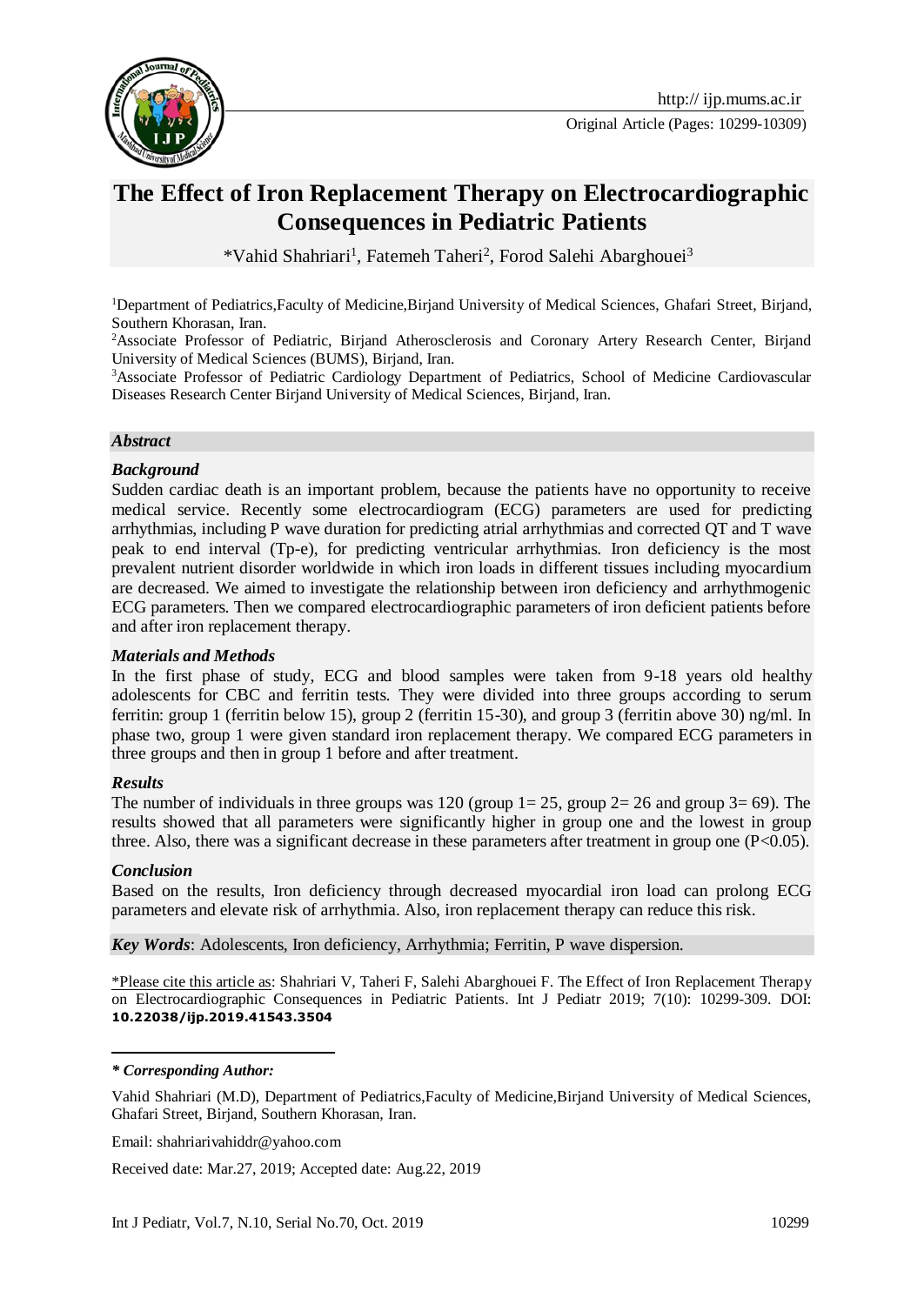

# **The Effect of Iron Replacement Therapy on Electrocardiographic Consequences in Pediatric Patients**

\*Vahid Shahriari<sup>1</sup>, Fatemeh Taheri<sup>2</sup>, Forod Salehi Abarghouei<sup>3</sup>

<sup>1</sup>Department of Pediatrics,Faculty of Medicine,Birjand University of Medical Sciences, Ghafari Street, Birjand, Southern Khorasan, Iran.

<sup>2</sup>Associate Professor of Pediatric, Birjand Atherosclerosis and Coronary Artery Research Center, Birjand University of Medical Sciences (BUMS), Birjand, Iran.

<sup>3</sup>Associate Professor of Pediatric Cardiology Department of Pediatrics, School of Medicine Cardiovascular Diseases Research Center Birjand University of Medical Sciences, Birjand, Iran.

#### *Abstract*

#### *Background*

Sudden cardiac death is an important problem, because the patients have no opportunity to receive medical service. Recently some electrocardiogram (ECG) parameters are used for predicting arrhythmias, including P wave duration for predicting atrial arrhythmias and corrected QT and T wave peak to end interval (Tp-e), for predicting ventricular arrhythmias. Iron deficiency is the most prevalent nutrient disorder worldwide in which iron loads in different tissues including myocardium are decreased. We aimed to investigate the relationship between iron deficiency and arrhythmogenic ECG parameters. Then we compared electrocardiographic parameters of iron deficient patients before and after iron replacement therapy.

#### *Materials and Methods*

In the first phase of study, ECG and blood samples were taken from 9-18 years old healthy adolescents for CBC and ferritin tests. They were divided into three groups according to serum ferritin: group 1 (ferritin below 15), group 2 (ferritin 15-30), and group 3 (ferritin above 30) ng/ml. In phase two, group 1 were given standard iron replacement therapy. We compared ECG parameters in three groups and then in group 1 before and after treatment.

#### *Results*

The number of individuals in three groups was 120 (group  $1=25$ , group  $2=26$  and group  $3=69$ ). The results showed that all parameters were significantly higher in group one and the lowest in group three. Also, there was a significant decrease in these parameters after treatment in group one (P<0.05).

#### *Conclusion*

1

Based on the results, Iron deficiency through decreased myocardial iron load can prolong ECG parameters and elevate risk of arrhythmia. Also, iron replacement therapy can reduce this risk.

*Key Words*: Adolescents, Iron deficiency, Arrhythmia; Ferritin, P wave dispersion.

\*Please cite this article as: Shahriari V, Taheri F, Salehi Abarghouei F. The Effect of Iron Replacement Therapy on Electrocardiographic Consequences in Pediatric Patients. Int J Pediatr 2019; 7(10): 10299-309. DOI: **10.22038/ijp.2019.41543.3504**

*\* Corresponding Author:*

Email: shahriarivahiddr@yahoo.com

Received date: Mar.27, 2019; Accepted date: Aug.22, 2019

Vahid Shahriari (M.D), Department of Pediatrics,Faculty of Medicine,Birjand University of Medical Sciences, Ghafari Street, Birjand, Southern Khorasan, Iran.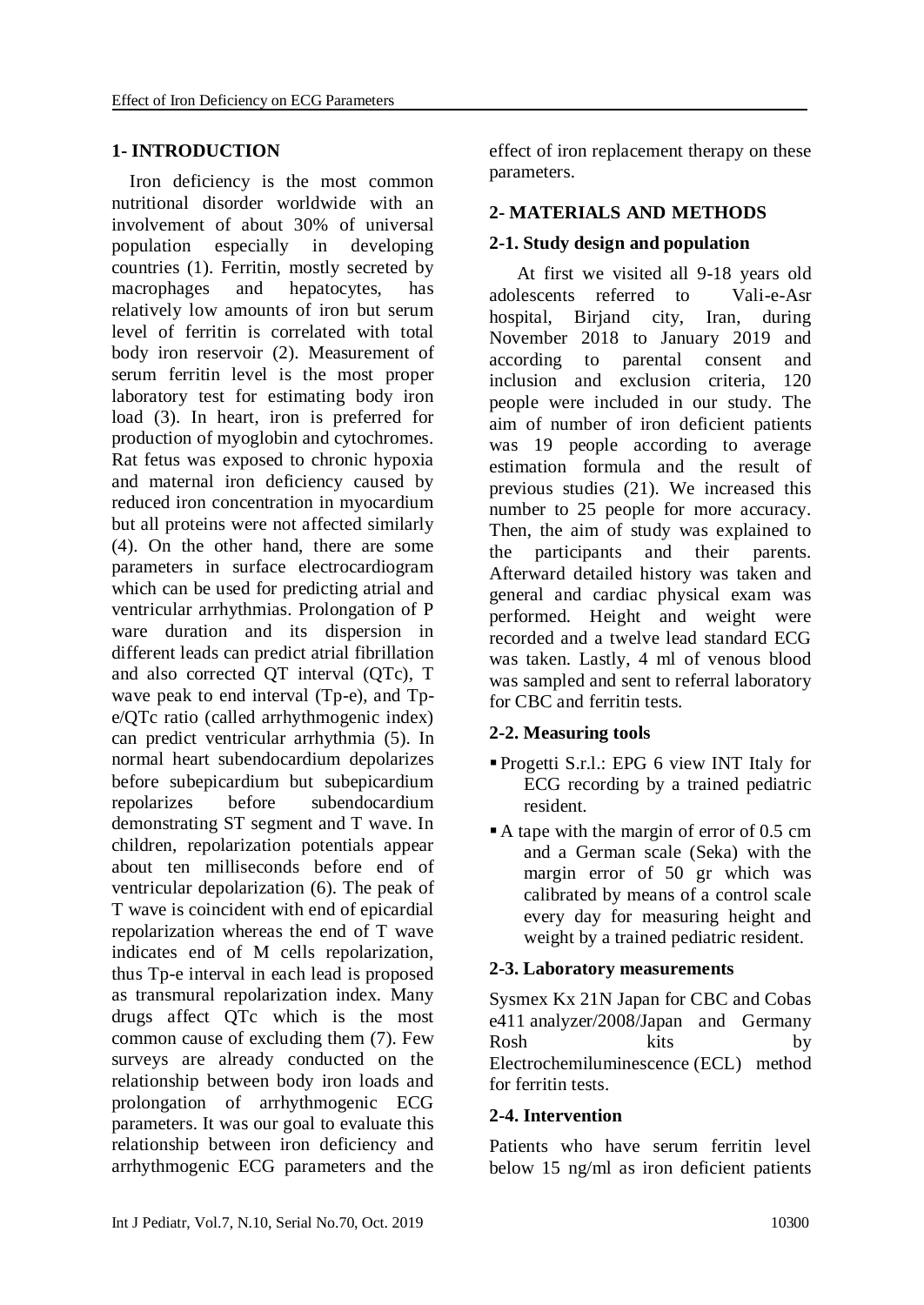#### **1- INTRODUCTION**

 Iron deficiency is the most common nutritional disorder worldwide with an involvement of about 30% of universal population especially in developing countries [\(1\)](#page-6-0). Ferritin, mostly secreted by macrophages and hepatocytes, has relatively low amounts of iron but serum level of ferritin is correlated with total body iron reservoir [\(2\)](#page-6-1). Measurement of serum ferritin level is the most proper laboratory test for estimating body iron load [\(3\)](#page-6-2). In heart, iron is preferred for production of myoglobin and cytochromes. Rat fetus was exposed to chronic hypoxia and maternal iron deficiency caused by reduced iron concentration in myocardium but all proteins were not affected similarly [\(4\)](#page-6-3). On the other hand, there are some parameters in surface electrocardiogram which can be used for predicting atrial and ventricular arrhythmias. Prolongation of P ware duration and its dispersion in different leads can predict atrial fibrillation and also corrected QT interval (QTc), T wave peak to end interval (Tp-e), and Tpe/QTc ratio (called arrhythmogenic index) can predict ventricular arrhythmia [\(5\)](#page-6-4). In normal heart subendocardium depolarizes before subepicardium but subepicardium repolarizes before subendocardium demonstrating ST segment and T wave. In children, repolarization potentials appear about ten milliseconds before end of ventricular depolarization [\(6\)](#page-6-5). The peak of T wave is coincident with end of epicardial repolarization whereas the end of T wave indicates end of M cells repolarization, thus Tp-e interval in each lead is proposed as transmural repolarization index. Many drugs affect QTc which is the most common cause of excluding them [\(7\)](#page-6-6). Few surveys are already conducted on the relationship between body iron loads and prolongation of arrhythmogenic ECG parameters. It was our goal to evaluate this relationship between iron deficiency and arrhythmogenic ECG parameters and the effect of iron replacement therapy on these parameters.

### **2- MATERIALS AND METHODS**

### **2-1. Study design and population**

 At first we visited all 9-18 years old adolescents referred to Vali-e-Asr hospital, Biriand city, Iran, during November 2018 to January 2019 and according to parental consent and inclusion and exclusion criteria, 120 people were included in our study. The aim of number of iron deficient patients was 19 people according to average estimation formula and the result of previous studies (21). We increased this number to 25 people for more accuracy. Then, the aim of study was explained to the participants and their parents. Afterward detailed history was taken and general and cardiac physical exam was performed. Height and weight were recorded and a twelve lead standard ECG was taken. Lastly, 4 ml of venous blood was sampled and sent to referral laboratory for CBC and ferritin tests.

### **2-2. Measuring tools**

- Progetti S.r.l.: EPG 6 view INT Italy for ECG recording by a trained pediatric resident.
- A tape with the margin of error of 0.5 cm and a German scale (Seka) with the margin error of 50 gr which was calibrated by means of a control scale every day for measuring height and weight by a trained pediatric resident.

### **2-3. Laboratory measurements**

Sysmex Kx 21N Japan for CBC and Cobas e411 analyzer/2008/Japan and Germany Rosh kits by Electrochemiluminescence (ECL) method for ferritin tests.

#### **2-4. Intervention**

Patients who have serum ferritin level below 15 ng/ml as iron deficient patients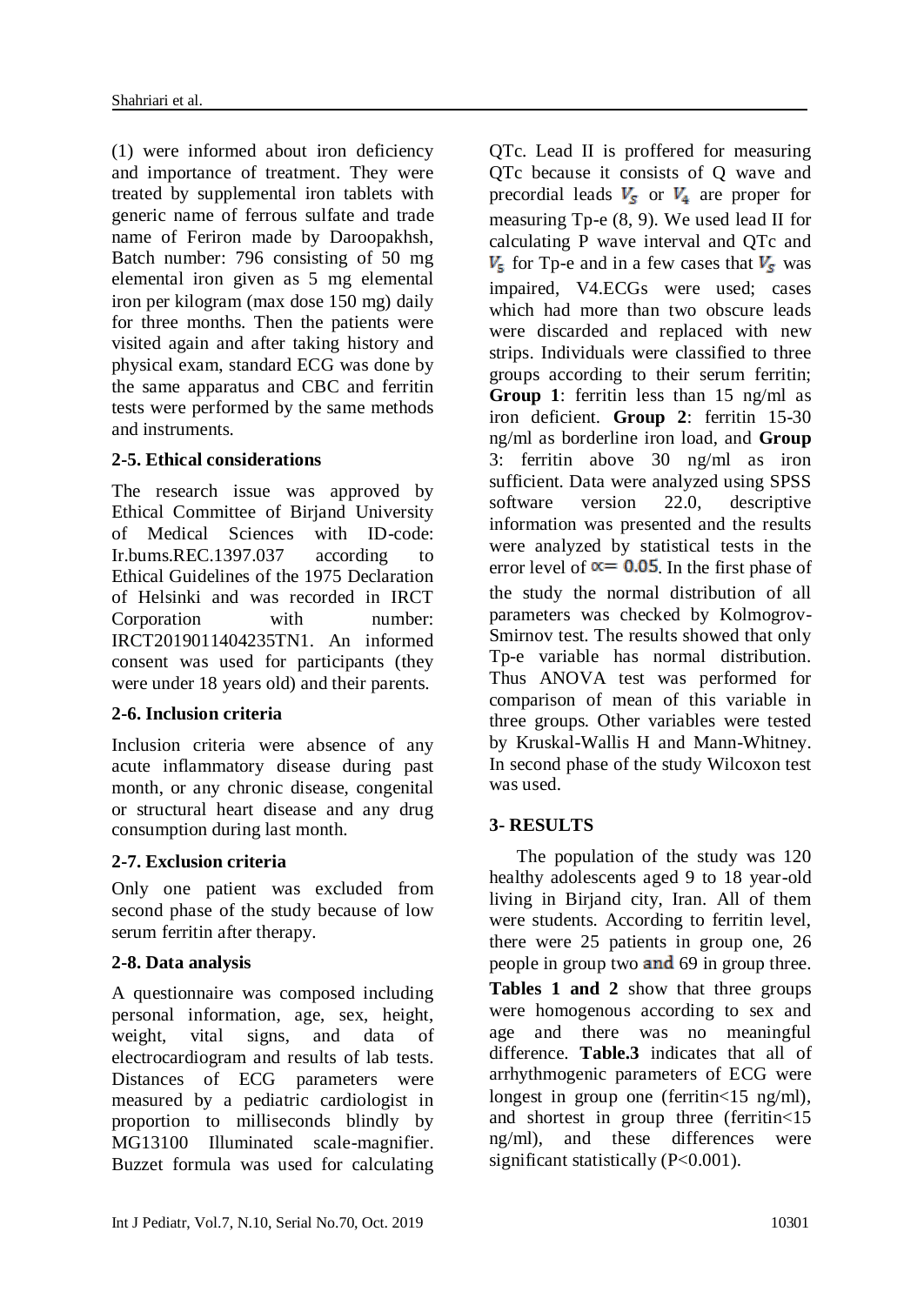(1) were informed about iron deficiency and importance of treatment. They were treated by supplemental iron tablets with generic name of ferrous sulfate and trade name of Feriron made by Daroopakhsh, Batch number: 796 consisting of 50 mg elemental iron given as 5 mg elemental iron per kilogram (max dose 150 mg) daily for three months. Then the patients were visited again and after taking history and physical exam, standard ECG was done by the same apparatus and CBC and ferritin tests were performed by the same methods and instruments.

# **2-5. Ethical considerations**

The research issue was approved by Ethical Committee of Birjand University of Medical Sciences with ID-code: Ir.bums.REC.1397.037 according to Ethical Guidelines of the 1975 Declaration of Helsinki and was recorded in IRCT Corporation with number: IRCT2019011404235TN1. An informed consent was used for participants (they were under 18 years old) and their parents.

### **2-6. Inclusion criteria**

Inclusion criteria were absence of any acute inflammatory disease during past month, or any chronic disease, congenital or structural heart disease and any drug consumption during last month.

# **2-7. Exclusion criteria**

Only one patient was excluded from second phase of the study because of low serum ferritin after therapy.

# **2-8. Data analysis**

A questionnaire was composed including personal information, age, sex, height, weight, vital signs, and data of electrocardiogram and results of lab tests. Distances of ECG parameters were measured by a pediatric cardiologist in proportion to milliseconds blindly by MG13100 Illuminated scale-magnifier. Buzzet formula was used for calculating QTc. Lead II is proffered for measuring QTc because it consists of Q wave and precordial leads  $V_s$  or  $V_4$  are proper for measuring Tp-e [\(8,](#page-6-7) 9). We used lead II for calculating P wave interval and QTc and  $V<sub>s</sub>$  for Tp-e and in a few cases that  $V<sub>s</sub>$  was impaired, V4.ECGs were used; cases which had more than two obscure leads were discarded and replaced with new strips. Individuals were classified to three groups according to their serum ferritin; **Group 1**: ferritin less than 15 ng/ml as iron deficient. **Group 2**: ferritin 15-30 ng/ml as borderline iron load, and **Group** 3: ferritin above 30 ng/ml as iron sufficient. Data were analyzed using SPSS software version 22.0, descriptive information was presented and the results were analyzed by statistical tests in the error level of  $\alpha$  = 0.05. In the first phase of the study the normal distribution of all parameters was checked by Kolmogrov-Smirnov test. The results showed that only Tp-e variable has normal distribution. Thus ANOVA test was performed for comparison of mean of this variable in three groups. Other variables were tested by Kruskal-Wallis H and Mann-Whitney. In second phase of the study Wilcoxon test was used.

# **3- RESULTS**

 The population of the study was 120 healthy adolescents aged 9 to 18 year-old living in Birjand city, Iran. All of them were students. According to ferritin level, there were 25 patients in group one, 26 people in group two and 69 in group three. **Tables 1 and 2** show that three groups were homogenous according to sex and age and there was no meaningful difference. **Table.3** indicates that all of arrhythmogenic parameters of ECG were longest in group one (ferritin < 15 ng/ml), and shortest in group three (ferritin<15 ng/ml), and these differences were significant statistically (P<0.001).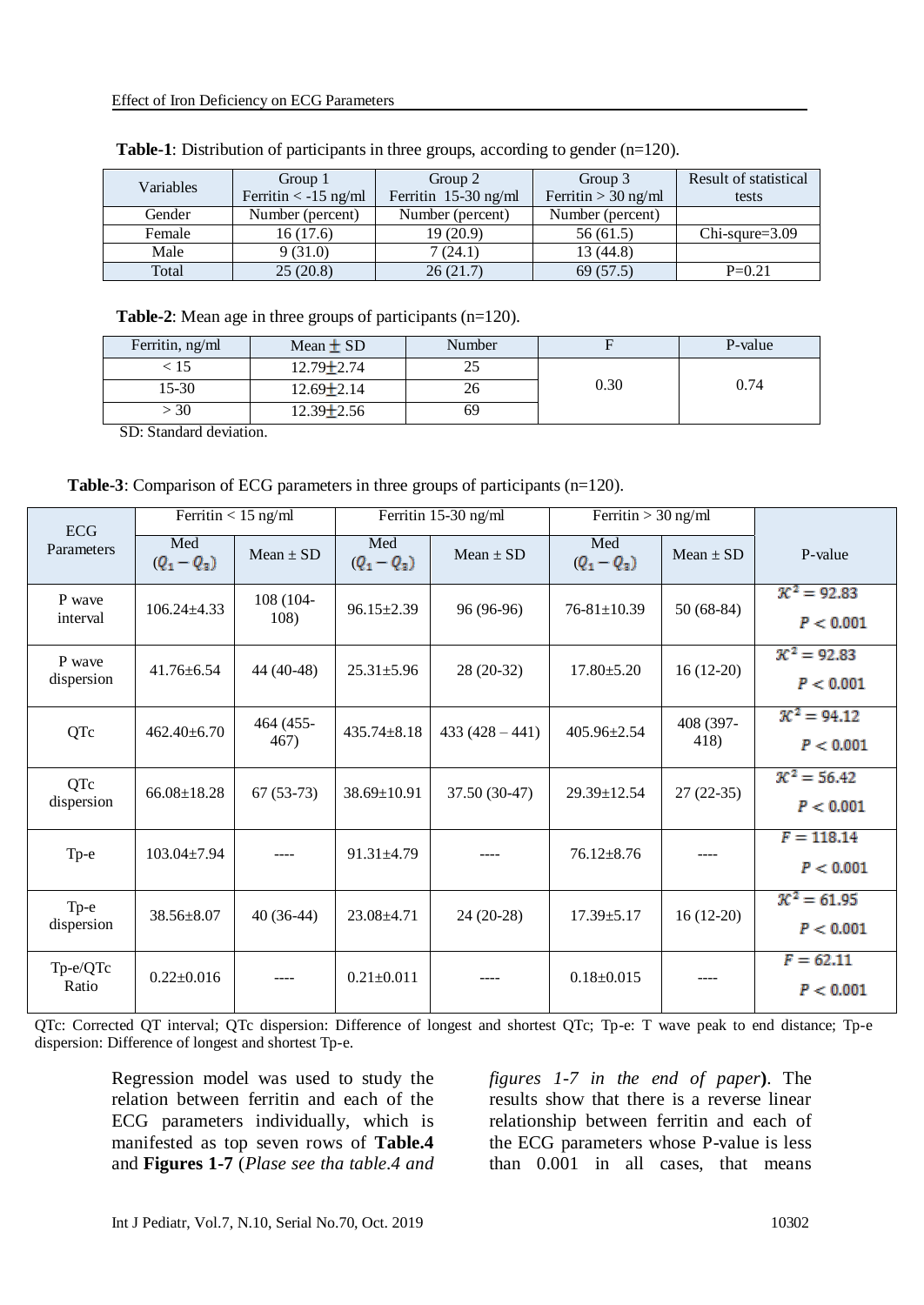| Variables | Group 1                | Group 2              | Group 3               | Result of statistical |
|-----------|------------------------|----------------------|-----------------------|-----------------------|
|           | Ferritin $<$ -15 ng/ml | Ferritin 15-30 ng/ml | Ferritin $>$ 30 ng/ml | tests                 |
| Gender    | Number (percent)       | Number (percent)     | Number (percent)      |                       |
| Female    | 16(17.6)               | 19(20.9)             | 56(61.5)              | $Chi-square = 3.09$   |
| Male      | 9(31.0)                | 7(24.1)              | 13 (44.8)             |                       |
| Total     | 25(20.8)               | 26(21.7)             | 69 (57.5)             | $P=0.21$              |

|  | <b>Table-1</b> : Distribution of participants in three groups, according to gender $(n=120)$ . |
|--|------------------------------------------------------------------------------------------------|
|--|------------------------------------------------------------------------------------------------|

**Table-2**: Mean age in three groups of participants (n=120).

| Ferritin, ng/ml | Mean $\pm$ SD    | Number |      | P-value |
|-----------------|------------------|--------|------|---------|
| כו              | $12.79 \pm 2.74$ |        |      |         |
| $15 - 30$       | $12.69 \pm 2.14$ | 40     | 0.30 | 0.74    |
| 30              | $12.39 \pm 2.56$ | 69     |      |         |

SD: Standard deviation.

|                          |                      | Ferritin $<$ 15 ng/ml |                      | Ferritin 15-30 ng/ml | Ferritin $>$ 30 ng/ml |                   |                                      |
|--------------------------|----------------------|-----------------------|----------------------|----------------------|-----------------------|-------------------|--------------------------------------|
| <b>ECG</b><br>Parameters | Med<br>$(Q_1 - Q_3)$ | $Mean \pm SD$         | Med<br>$(Q_1 - Q_3)$ | $Mean \pm SD$        | Med<br>$(Q_1 - Q_3)$  | $Mean \pm SD$     | P-value                              |
| P wave<br>interval       | $106.24 \pm 4.33$    | 108 (104-<br>108)     | $96.15 \pm 2.39$     | 96 (96-96)           | $76 - 81 \pm 10.39$   | $50(68-84)$       | $\pi^2 = 92.83$<br>P < 0.001         |
| P wave<br>dispersion     | $41.76 \pm 6.54$     | 44 (40-48)            | $25.31 \pm 5.96$     | 28 (20-32)           | $17.80 \pm 5.20$      | $16(12-20)$       | $\mathcal{K}^2 = 92.83$<br>P < 0.001 |
| QTc                      | $462.40 \pm 6.70$    | 464 (455-<br>467)     | $435.74 \pm 8.18$    | $433(428-441)$       | 405.96±2.54           | 408 (397-<br>418) | $K^2 = 94.12$<br>P < 0.001           |
| QTc<br>dispersion        | $66.08 \pm 18.28$    | $67(53-73)$           | 38.69±10.91          | 37.50 (30-47)        | 29.39±12.54           | $27(22-35)$       | $\mathcal{K}^2 = 56.42$<br>P < 0.001 |
| Tp-e                     | $103.04 \pm 7.94$    | $---$                 | $91.31 \pm 4.79$     |                      | $76.12 \pm 8.76$      |                   | $F = 118.14$<br>P < 0.001            |
| Тр-е<br>dispersion       | 38.56±8.07           | $40(36-44)$           | $23.08 \pm 4.71$     | $24(20-28)$          | $17.39 \pm 5.17$      | $16(12-20)$       | $\mathcal{K}^2 = 61.95$<br>P < 0.001 |
| Tp-e/QTc<br>Ratio        | $0.22 \pm 0.016$     | $---$                 | $0.21 \pm 0.011$     |                      | $0.18 \pm 0.015$      |                   | $F = 62.11$<br>P < 0.001             |

QTc: Corrected QT interval; QTc dispersion: Difference of longest and shortest QTc; Tp-e: T wave peak to end distance; Tp-e dispersion: Difference of longest and shortest Tp-e.

Regression model was used to study the relation between ferritin and each of the ECG parameters individually, which is manifested as top seven rows of **Table.4** and **Figures 1-7** (*Plase see tha table.4 and*  *figures 1-7 in the end of paper***)**. The results show that there is a reverse linear relationship between ferritin and each of the ECG parameters whose P-value is less than 0.001 in all cases, that means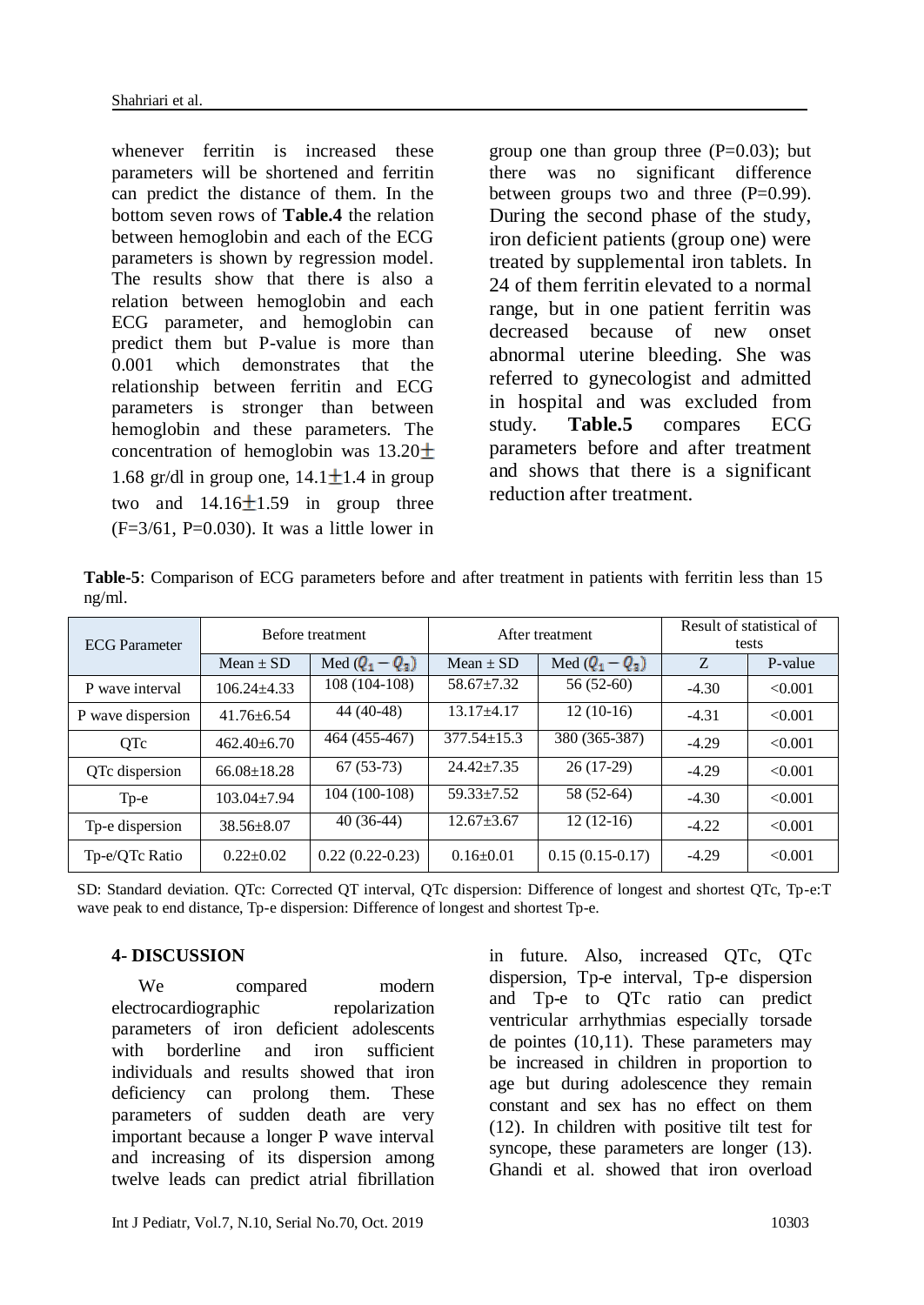whenever ferritin is increased these parameters will be shortened and ferritin can predict the distance of them. In the bottom seven rows of **Table.4** the relation between hemoglobin and each of the ECG parameters is shown by regression model. The results show that there is also a relation between hemoglobin and each ECG parameter, and hemoglobin can predict them but P-value is more than 0.001 which demonstrates that the relationship between ferritin and ECG parameters is stronger than between hemoglobin and these parameters. The concentration of hemoglobin was  $13.20 \pm$ 1.68 gr/dl in group one,  $14.1 \pm 1.4$  in group two and  $14.16 \pm 1.59$  in group three  $(F=3/61, P=0.030)$ . It was a little lower in group one than group three  $(P=0.03)$ ; but there was no significant difference between groups two and three  $(P=0.99)$ . During the second phase of the study, iron deficient patients (group one) were treated by supplemental iron tablets. In 24 of them ferritin elevated to a normal range, but in one patient ferritin was decreased because of new onset abnormal uterine bleeding. She was referred to gynecologist and admitted in hospital and was excluded from study. **Table.5** compares ECG parameters before and after treatment and shows that there is a significant reduction after treatment.

**Table-5**: Comparison of ECG parameters before and after treatment in patients with ferritin less than 15 ng/ml.

| <b>ECG</b> Parameter |                   | Before treatment  |                   | After treatment   | Result of statistical of<br>tests |         |  |
|----------------------|-------------------|-------------------|-------------------|-------------------|-----------------------------------|---------|--|
|                      | $Mean \pm SD$     | Med $(Q_1 - Q_3)$ | Mean $\pm$ SD     | Med $(Q_1 - Q_3)$ | Z                                 | P-value |  |
| P wave interval      | $106.24 + 4.33$   | 108 (104-108)     | $58.67 \pm 7.32$  | $56(52-60)$       | $-4.30$                           | < 0.001 |  |
| P wave dispersion    | $41.76 \pm 6.54$  | 44 (40-48)        | $13.17 + 4.17$    | $12(10-16)$       | $-4.31$                           | < 0.001 |  |
| <b>OTc</b>           | $462.40 \pm 6.70$ | 464 (455-467)     | $377.54 \pm 15.3$ | 380 (365-387)     | $-4.29$                           | < 0.001 |  |
| QTc dispersion       | $66.08 \pm 18.28$ | $67(53-73)$       | $24.42 + 7.35$    | $26(17-29)$       | $-4.29$                           | < 0.001 |  |
| Tр-е                 | $103.04 \pm 7.94$ | 104 (100-108)     | $59.33 + 7.52$    | 58 (52-64)        | $-4.30$                           | < 0.001 |  |
| Tp-e dispersion      | $38.56 \pm 8.07$  | $40(36-44)$       | $12.67 + 3.67$    | $12(12-16)$       | $-4.22$                           | < 0.001 |  |
| Tp-e/QTc Ratio       | $0.22+0.02$       | $0.22(0.22-0.23)$ | $0.16 \pm 0.01$   | $0.15(0.15-0.17)$ | $-4.29$                           | < 0.001 |  |

SD: Standard deviation. QTc: Corrected QT interval, QTc dispersion: Difference of longest and shortest QTc, Tp-e:T wave peak to end distance, Tp-e dispersion: Difference of longest and shortest Tp-e.

### **4- DISCUSSION**

We compared modern electrocardiographic repolarization parameters of iron deficient adolescents with borderline and iron sufficient individuals and results showed that iron deficiency can prolong them. These parameters of sudden death are very important because a longer P wave interval and increasing of its dispersion among twelve leads can predict atrial fibrillation in future. Also, increased QTc, QTc dispersion, Tp-e interval, Tp-e dispersion and Tp-e to QTc ratio can predict ventricular arrhythmias especially torsade de pointes [\(10](#page-6-8)[,11\)](#page-6-9). These parameters may be increased in children in proportion to age but during adolescence they remain constant and sex has no effect on them [\(12\)](#page-6-10). In children with positive tilt test for syncope, these parameters are longer [\(13\)](#page-6-11). Ghandi et al. showed that iron overload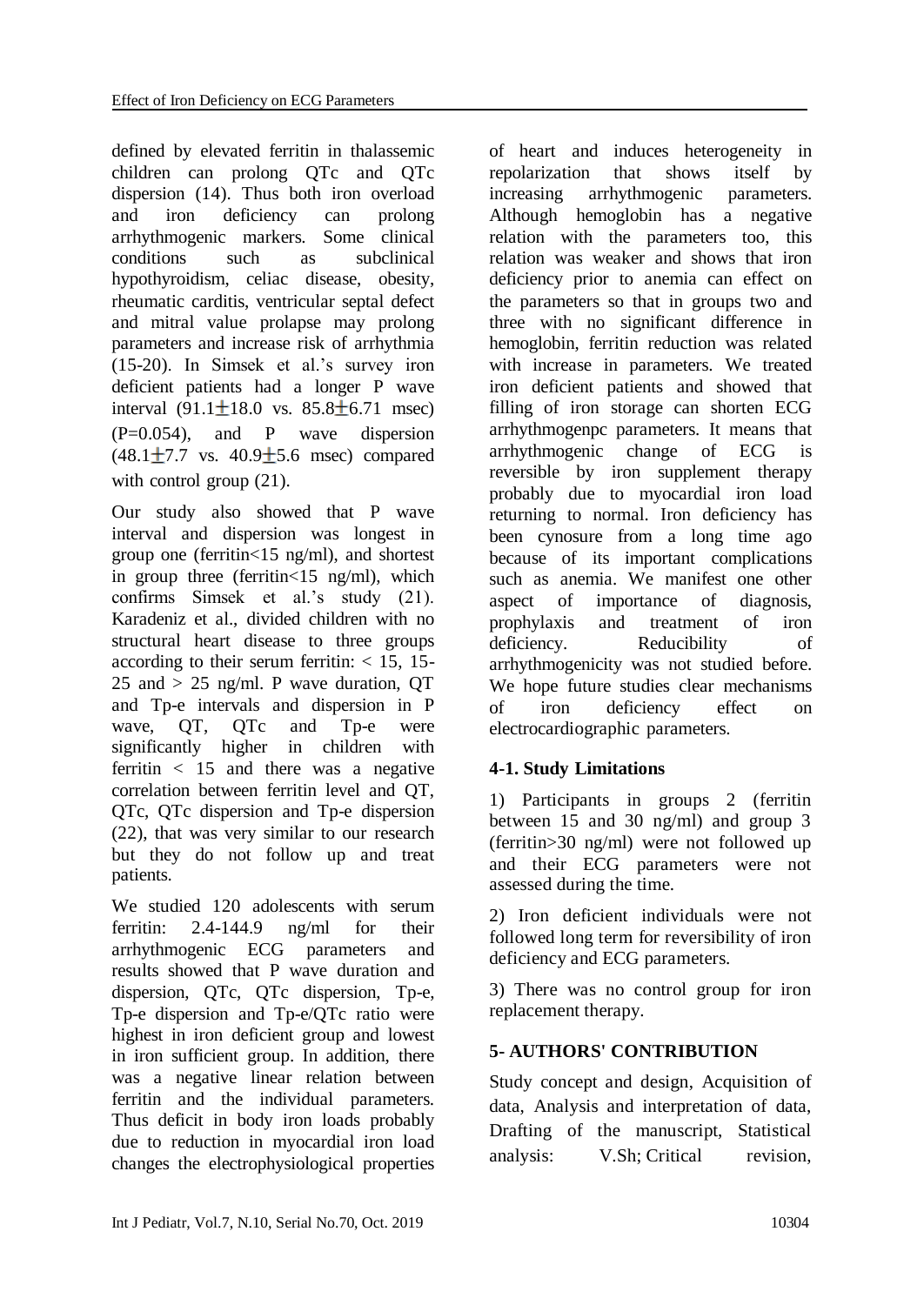defined by elevated ferritin in thalassemic children can prolong QTc and QTc dispersion [\(14\)](#page-6-12). Thus both iron overload and iron deficiency can prolong arrhythmogenic markers. Some clinical conditions such as subclinical hypothyroidism, celiac disease, obesity, rheumatic carditis, ventricular septal defect and mitral value prolapse may prolong parameters and increase risk of arrhythmia [\(15-20\)](#page-6-13). In Simsek et al.'s survey iron deficient patients had a longer P wave interval  $(91.1 \pm 18.0 \text{ vs. } 85.8 \pm 6.71 \text{ msec})$  $(P=0.054)$ , and P wave dispersion  $(48.1 \pm 7.7 \text{ vs. } 40.9 \pm 5.6 \text{ msec})$  compared with control group  $(21)$ .

Our study also showed that P wave interval and dispersion was longest in group one (ferritin<15 ng/ml), and shortest in group three (ferritin<15 ng/ml), which confirms Simsek et al.'s study (21). Karadeniz et al., divided children with no structural heart disease to three groups according to their serum ferritin:  $<$  15, 15-25 and  $> 25$  ng/ml. P wave duration, QT and Tp-e intervals and dispersion in P wave, OT, OTc and Tp-e were significantly higher in children with ferritin < 15 and there was a negative correlation between ferritin level and QT, QTc, QTc dispersion and Tp-e dispersion [\(22\)](#page-7-1), that was very similar to our research but they do not follow up and treat patients.

We studied 120 adolescents with serum ferritin: 2.4-144.9 ng/ml for their arrhythmogenic ECG parameters and results showed that P wave duration and dispersion, QTc, QTc dispersion, Tp-e, Tp-e dispersion and Tp-e/QTc ratio were highest in iron deficient group and lowest in iron sufficient group. In addition, there was a negative linear relation between ferritin and the individual parameters. Thus deficit in body iron loads probably due to reduction in myocardial iron load changes the electrophysiological properties

of heart and induces heterogeneity in repolarization that shows itself by increasing arrhythmogenic parameters. Although hemoglobin has a negative relation with the parameters too, this relation was weaker and shows that iron deficiency prior to anemia can effect on the parameters so that in groups two and three with no significant difference in hemoglobin, ferritin reduction was related with increase in parameters. We treated iron deficient patients and showed that filling of iron storage can shorten ECG arrhythmogenpc parameters. It means that arrhythmogenic change of ECG is reversible by iron supplement therapy probably due to myocardial iron load returning to normal. Iron deficiency has been cynosure from a long time ago because of its important complications such as anemia. We manifest one other aspect of importance of diagnosis, prophylaxis and treatment of iron deficiency. Reducibility of arrhythmogenicity was not studied before. We hope future studies clear mechanisms of iron deficiency effect on electrocardiographic parameters.

### **4-1. Study Limitations**

1) Participants in groups 2 (ferritin between 15 and 30 ng/ml) and group 3 (ferritin>30 ng/ml) were not followed up and their ECG parameters were not assessed during the time.

2) Iron deficient individuals were not followed long term for reversibility of iron deficiency and ECG parameters.

3) There was no control group for iron replacement therapy.

### **5- AUTHORS' CONTRIBUTION**

Study concept and design, Acquisition of data, Analysis and interpretation of data, Drafting of the manuscript, Statistical analysis: V.Sh; Critical revision,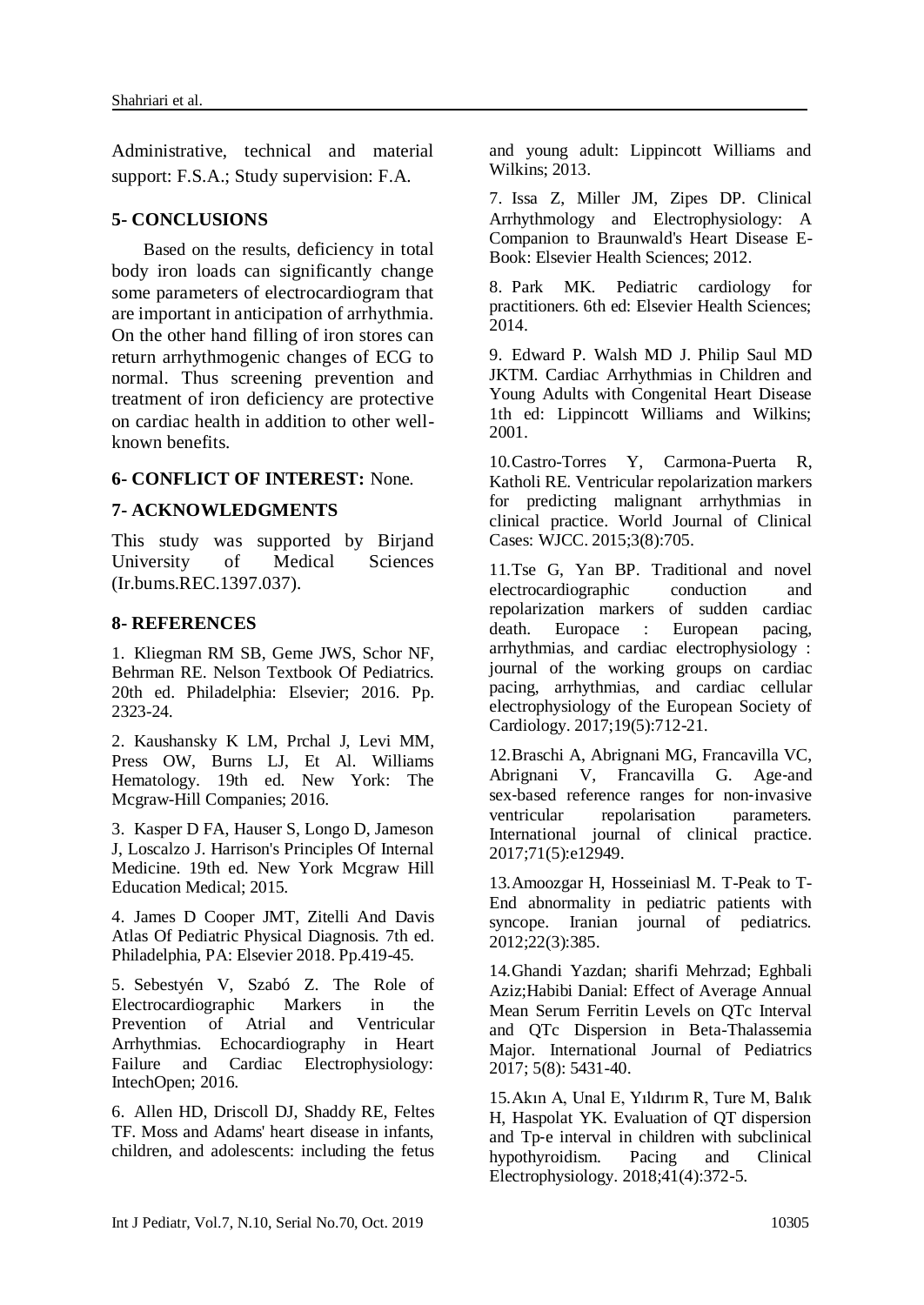Administrative, technical and material support: F.S.A.; Study supervision: F.A.

### **5- CONCLUSIONS**

 Based on the results, deficiency in total body iron loads can significantly change some parameters of electrocardiogram that are important in anticipation of arrhythmia. On the other hand filling of iron stores can return arrhythmogenic changes of ECG to normal. Thus screening prevention and treatment of iron deficiency are protective on cardiac health in addition to other wellknown benefits.

#### **6- CONFLICT OF INTEREST:** None.

### **7- ACKNOWLEDGMENTS**

This study was supported by Birjand University of Medical Sciences (Ir.bums.REC.1397.037).

#### **8- REFERENCES**

<span id="page-6-0"></span>1. Kliegman RM SB, Geme JWS, Schor NF, Behrman RE. Nelson Textbook Of Pediatrics. 20th ed. Philadelphia: Elsevier; 2016. Pp. 2323-24.

<span id="page-6-1"></span>2. Kaushansky K LM, Prchal J, Levi MM, Press OW, Burns LJ, Et Al. Williams Hematology. 19th ed. New York: The Mcgraw-Hill Companies; 2016.

<span id="page-6-2"></span>3. Kasper D FA, Hauser S, Longo D, Jameson J, Loscalzo J. Harrison's Principles Of Internal Medicine. 19th ed. New York Mcgraw Hill Education Medical; 2015.

<span id="page-6-3"></span>4. James D Cooper JMT, Zitelli And Davis Atlas Of Pediatric Physical Diagnosis. 7th ed. Philadelphia, PA: Elsevier 2018. Pp.419-45.

<span id="page-6-4"></span>5. Sebestyén V, Szabó Z. The Role of Electrocardiographic Markers in the Prevention of Atrial and Ventricular Arrhythmias. Echocardiography in Heart Failure and Cardiac Electrophysiology: IntechOpen; 2016.

<span id="page-6-5"></span>6. Allen HD, Driscoll DJ, Shaddy RE, Feltes TF. Moss and Adams' heart disease in infants, children, and adolescents: including the fetus and young adult: Lippincott Williams and Wilkins; 2013.

<span id="page-6-6"></span>7. Issa Z, Miller JM, Zipes DP. Clinical Arrhythmology and Electrophysiology: A Companion to Braunwald's Heart Disease E-Book: Elsevier Health Sciences; 2012.

<span id="page-6-7"></span>8. Park MK. Pediatric cardiology for practitioners. 6th ed: Elsevier Health Sciences; 2014.

9. Edward P. Walsh MD J. Philip Saul MD JKTM. Cardiac Arrhythmias in Children and Young Adults with Congenital Heart Disease 1th ed: Lippincott Williams and Wilkins; 2001.

<span id="page-6-8"></span>10.Castro-Torres Y, Carmona-Puerta R, Katholi RE. Ventricular repolarization markers for predicting malignant arrhythmias in clinical practice. World Journal of Clinical Cases: WJCC. 2015;3(8):705.

<span id="page-6-9"></span>11.Tse G, Yan BP. Traditional and novel electrocardiographic conduction and repolarization markers of sudden cardiac death. Europace : European pacing, arrhythmias, and cardiac electrophysiology : journal of the working groups on cardiac pacing, arrhythmias, and cardiac cellular electrophysiology of the European Society of Cardiology. 2017;19(5):712-21.

<span id="page-6-10"></span>12.Braschi A, Abrignani MG, Francavilla VC, Abrignani V, Francavilla G. Age-and sex-based reference ranges for non-invasive ventricular repolarisation parameters. International journal of clinical practice. 2017;71(5):e12949.

<span id="page-6-11"></span>13.Amoozgar H, Hosseiniasl M. T-Peak to T-End abnormality in pediatric patients with syncope. Iranian journal of pediatrics. 2012;22(3):385.

<span id="page-6-12"></span>14.Ghandi Yazdan; sharifi Mehrzad; Eghbali Aziz;Habibi Danial: Effect of Average Annual Mean Serum Ferritin Levels on QTc Interval and QTc Dispersion in Beta-Thalassemia Major. International Journal of Pediatrics 2017; 5(8): 5431-40.

<span id="page-6-13"></span>15.Akın A, Unal E, Yıldırım R, Ture M, Balık H, Haspolat YK. Evaluation of QT dispersion and Tp‐e interval in children with subclinical hypothyroidism. Pacing and Clinical Electrophysiology. 2018;41(4):372-5.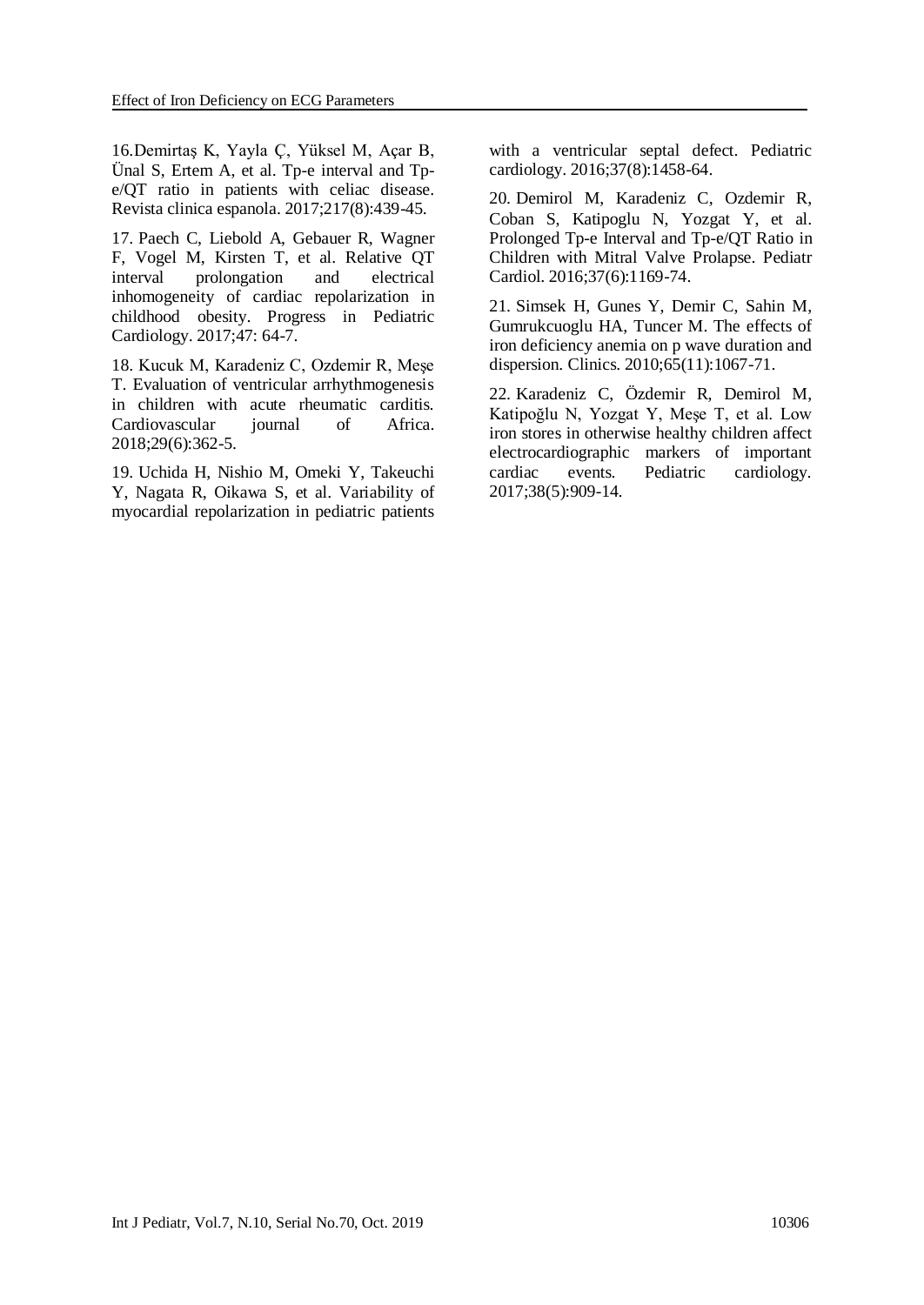16.Demirtaş K, Yayla Ç, Yüksel M, Açar B, Ünal S, Ertem A, et al. Tp-e interval and Tpe/QT ratio in patients with celiac disease. Revista clinica espanola. 2017;217(8):439-45.

17. Paech C, Liebold A, Gebauer R, Wagner F, Vogel M, Kirsten T, et al. Relative QT interval prolongation and electrical inhomogeneity of cardiac repolarization in childhood obesity. Progress in Pediatric Cardiology. 2017;47: 64-7.

18. Kucuk M, Karadeniz C, Ozdemir R, Meşe T. Evaluation of ventricular arrhythmogenesis in children with acute rheumatic carditis. Cardiovascular journal of Africa. 2018;29(6):362-5.

19. Uchida H, Nishio M, Omeki Y, Takeuchi Y, Nagata R, Oikawa S, et al. Variability of myocardial repolarization in pediatric patients with a ventricular septal defect. Pediatric cardiology. 2016;37(8):1458-64.

20. Demirol M, Karadeniz C, Ozdemir R, Coban S, Katipoglu N, Yozgat Y, et al. Prolonged Tp-e Interval and Tp-e/QT Ratio in Children with Mitral Valve Prolapse. Pediatr Cardiol. 2016;37(6):1169-74.

<span id="page-7-0"></span>21. Simsek H, Gunes Y, Demir C, Sahin M, Gumrukcuoglu HA, Tuncer M. The effects of iron deficiency anemia on p wave duration and dispersion. Clinics. 2010;65(11):1067-71.

<span id="page-7-1"></span>22. Karadeniz C, Özdemir R, Demirol M, Katipoğlu N, Yozgat Y, Meşe T, et al. Low iron stores in otherwise healthy children affect electrocardiographic markers of important cardiac events. Pediatric cardiology. 2017;38(5):909-14.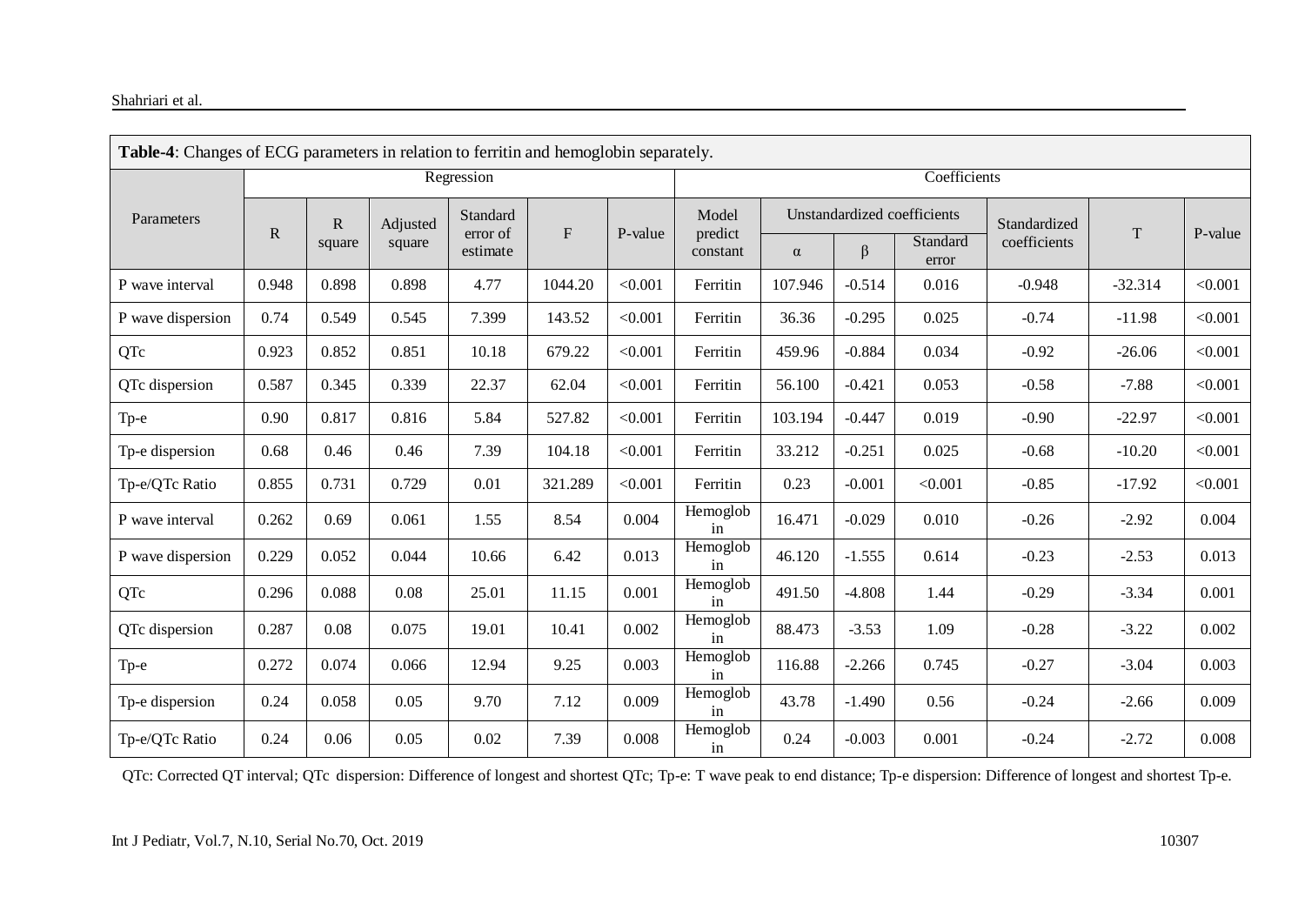#### Shahriari et al.

| <b>Table-4:</b> Changes of ECG parameters in relation to ferritin and hemoglobin separately. |                                  |       |                    |          |                       |         |                     |          |                             |                   |              |             |         |
|----------------------------------------------------------------------------------------------|----------------------------------|-------|--------------------|----------|-----------------------|---------|---------------------|----------|-----------------------------|-------------------|--------------|-------------|---------|
|                                                                                              | Regression                       |       |                    |          |                       |         | Coefficients        |          |                             |                   |              |             |         |
| Parameters                                                                                   | ${\bf R}$<br>${\bf R}$<br>square |       | Adjusted<br>square | Standard | ${\bf F}$<br>error of |         | Model               |          | Unstandardized coefficients |                   | Standardized |             |         |
|                                                                                              |                                  |       |                    | estimate |                       | P-value | predict<br>constant | $\alpha$ | $\beta$                     | Standard<br>error | coefficients | $\mathbf T$ | P-value |
| P wave interval                                                                              | 0.948                            | 0.898 | 0.898              | 4.77     | 1044.20               | < 0.001 | Ferritin            | 107.946  | $-0.514$                    | 0.016             | $-0.948$     | $-32.314$   | < 0.001 |
| P wave dispersion                                                                            | 0.74                             | 0.549 | 0.545              | 7.399    | 143.52                | < 0.001 | Ferritin            | 36.36    | $-0.295$                    | 0.025             | $-0.74$      | $-11.98$    | < 0.001 |
| QTc                                                                                          | 0.923                            | 0.852 | 0.851              | 10.18    | 679.22                | < 0.001 | Ferritin            | 459.96   | $-0.884$                    | 0.034             | $-0.92$      | $-26.06$    | < 0.001 |
| QTc dispersion                                                                               | 0.587                            | 0.345 | 0.339              | 22.37    | 62.04                 | < 0.001 | Ferritin            | 56.100   | $-0.421$                    | 0.053             | $-0.58$      | $-7.88$     | < 0.001 |
| Tp-e                                                                                         | 0.90                             | 0.817 | 0.816              | 5.84     | 527.82                | < 0.001 | Ferritin            | 103.194  | $-0.447$                    | 0.019             | $-0.90$      | $-22.97$    | < 0.001 |
| Tp-e dispersion                                                                              | 0.68                             | 0.46  | 0.46               | 7.39     | 104.18                | < 0.001 | Ferritin            | 33.212   | $-0.251$                    | 0.025             | $-0.68$      | $-10.20$    | < 0.001 |
| Tp-e/QTc Ratio                                                                               | 0.855                            | 0.731 | 0.729              | 0.01     | 321.289               | < 0.001 | Ferritin            | 0.23     | $-0.001$                    | < 0.001           | $-0.85$      | $-17.92$    | < 0.001 |
| P wave interval                                                                              | 0.262                            | 0.69  | 0.061              | 1.55     | 8.54                  | 0.004   | Hemoglob<br>in      | 16.471   | $-0.029$                    | 0.010             | $-0.26$      | $-2.92$     | 0.004   |
| P wave dispersion                                                                            | 0.229                            | 0.052 | 0.044              | 10.66    | 6.42                  | 0.013   | Hemoglob<br>in      | 46.120   | $-1.555$                    | 0.614             | $-0.23$      | $-2.53$     | 0.013   |
| QTc                                                                                          | 0.296                            | 0.088 | 0.08               | 25.01    | 11.15                 | 0.001   | Hemoglob<br>in      | 491.50   | $-4.808$                    | 1.44              | $-0.29$      | $-3.34$     | 0.001   |
| QTc dispersion                                                                               | 0.287                            | 0.08  | 0.075              | 19.01    | 10.41                 | 0.002   | Hemoglob<br>in      | 88.473   | $-3.53$                     | 1.09              | $-0.28$      | $-3.22$     | 0.002   |
| Tp-e                                                                                         | 0.272                            | 0.074 | 0.066              | 12.94    | 9.25                  | 0.003   | Hemoglob<br>in      | 116.88   | $-2.266$                    | 0.745             | $-0.27$      | $-3.04$     | 0.003   |
| Tp-e dispersion                                                                              | 0.24                             | 0.058 | 0.05               | 9.70     | 7.12                  | 0.009   | Hemoglob<br>in      | 43.78    | $-1.490$                    | 0.56              | $-0.24$      | $-2.66$     | 0.009   |
| Tp-e/QTc Ratio                                                                               | 0.24                             | 0.06  | 0.05               | 0.02     | 7.39                  | 0.008   | Hemoglob<br>in      | 0.24     | $-0.003$                    | 0.001             | $-0.24$      | $-2.72$     | 0.008   |

QTc: Corrected QT interval; QTc dispersion: Difference of longest and shortest QTc; Tp-e: T wave peak to end distance; Tp-e dispersion: Difference of longest and shortest Tp-e.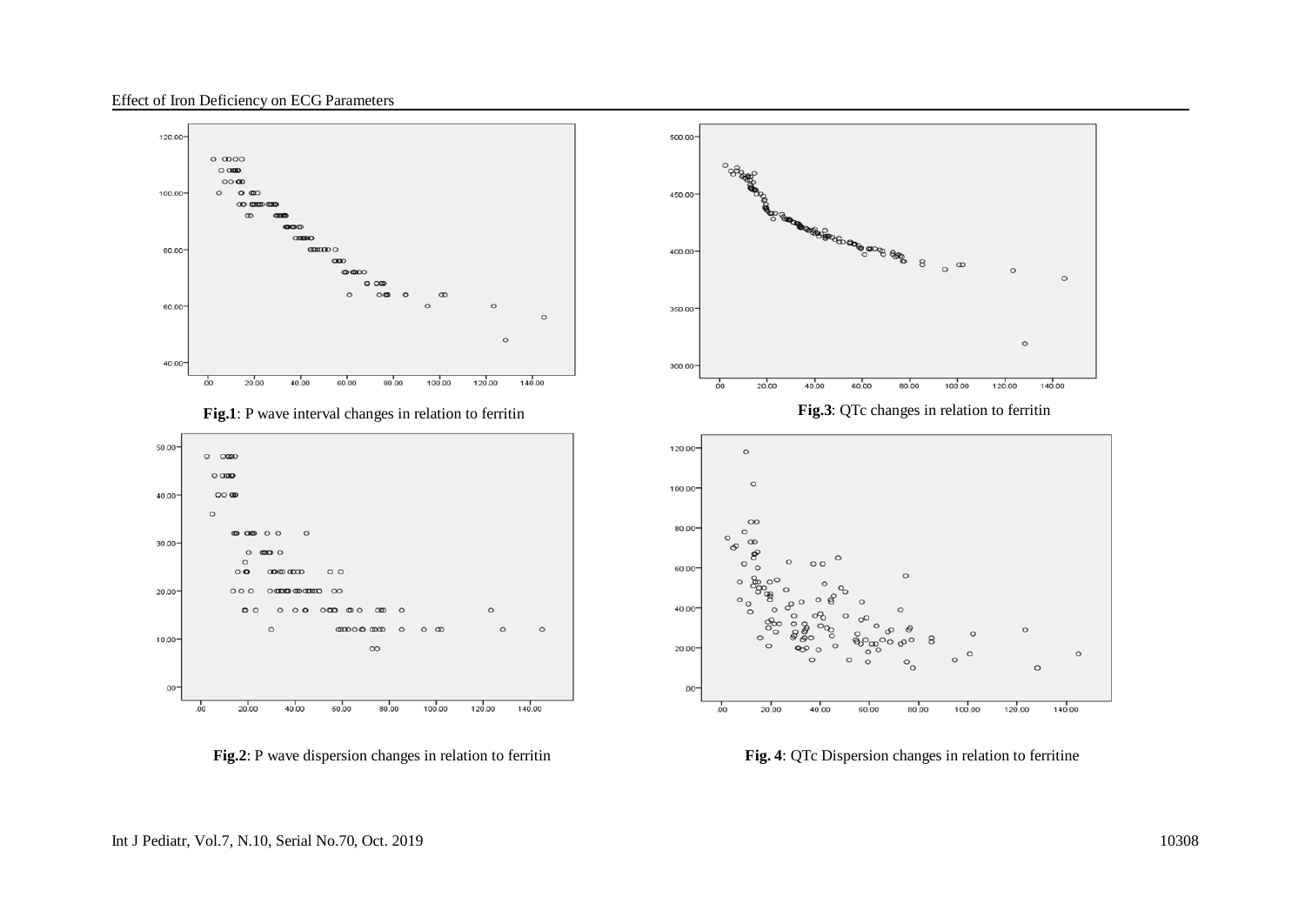Effect of Iron Deficiency on ECG Parameters











**Fig. 2**: P wave dispersion changes in relation to ferritin **Fig. 4**: QTc Dispersion changes in relation to ferritine